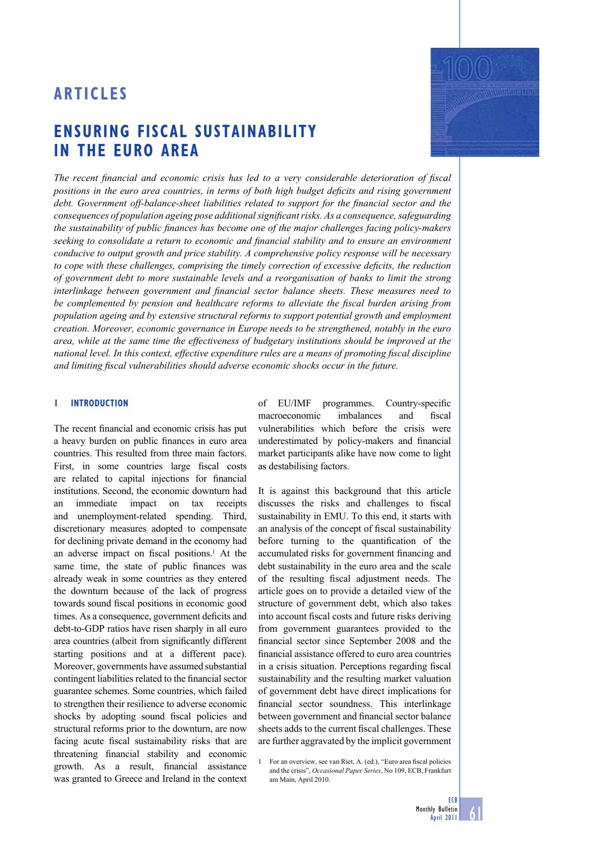# **ENSURING FISCAL SUSTAINABILITY IN THE EURO AREA**

The recent financial and economic crisis has led to a very considerable deterioration of fiscal *positions in the euro area countries, in terms of both high budget deficits and rising government debt. Government off-balance-sheet liabilities related to support for the financial sector and the consequences of population ageing pose additional significant risks. As a consequence, safeguarding the sustainability of public finances has become one of the major challenges facing policy-makers* seeking to consolidate a return to economic and financial stability and to ensure an environment *conducive to output growth and price stability. A comprehensive policy response will be necessary to cope with these challenges, comprising the timely correction of excessive deficits, the reduction of government debt to more sustainable levels and a reorganisation of banks to limit the strong interlinkage between government and financial sector balance sheets. These measures need to* be complemented by pension and healthcare reforms to alleviate the fiscal burden arising from *population ageing and by extensive structural reforms to support potential growth and employment creation. Moreover, economic governance in Europe needs to be strengthened, notably in the euro area, while at the same time the effectiveness of budgetary institutions should be improved at the national level. In this context, effective expenditure rules are a means of promoting fiscal discipline and limiting fiscal vulnerabilities should adverse economic shocks occur in the future.* 

# **1 INTRODUCTION**

The recent financial and economic crisis has put a heavy burden on public finances in euro area countries. This resulted from three main factors. First, in some countries large fiscal costs are related to capital injections for financial institutions. Second, the economic downturn had an immediate impact on tax receipts and unemployment-related spending. Third, discretionary measures adopted to compensate for declining private demand in the economy had an adverse impact on fiscal positions.<sup>1</sup> At the same time, the state of public finances was already weak in some countries as they entered the downturn because of the lack of progress towards sound fiscal positions in economic good times. As a consequence, government deficits and debt-to-GDP ratios have risen sharply in all euro area countries (albeit from significantly different starting positions and at a different pace). Moreover, governments have assumed substantial contingent liabilities related to the financial sector guarantee schemes. Some countries, which failed to strengthen their resilience to adverse economic shocks by adopting sound fiscal policies and structural reforms prior to the downturn, are now facing acute fiscal sustainability risks that are threatening financial stability and economic growth. As a result, financial assistance was granted to Greece and Ireland in the context

of EU/IMF programmes. Country-specific macroeconomic imbalances and fiscal vulnerabilities which before the crisis were underestimated by policy-makers and financial market participants alike have now come to light as destabilising factors.

It is against this background that this article discusses the risks and challenges to fiscal sustainability in EMU. To this end, it starts with an analysis of the concept of fiscal sustainability before turning to the quantification of the accumulated risks for government financing and debt sustainability in the euro area and the scale of the resulting fiscal adjustment needs. The article goes on to provide a detailed view of the structure of government debt, which also takes into account fiscal costs and future risks deriving from government guarantees provided to the financial sector since September 2008 and the financial assistance offered to euro area countries in a crisis situation. Perceptions regarding fiscal sustainability and the resulting market valuation of government debt have direct implications for financial sector soundness. This interlinkage between government and financial sector balance sheets adds to the current fiscal challenges. These are further aggravated by the implicit government

For an overview, see van Riet, A. (ed.), "Euro area fiscal policies and the crisis", *Occasional Paper Series*, No 109, ECB, Frankfurt am Main, April 2010.



**ECB** 

<u>61</u>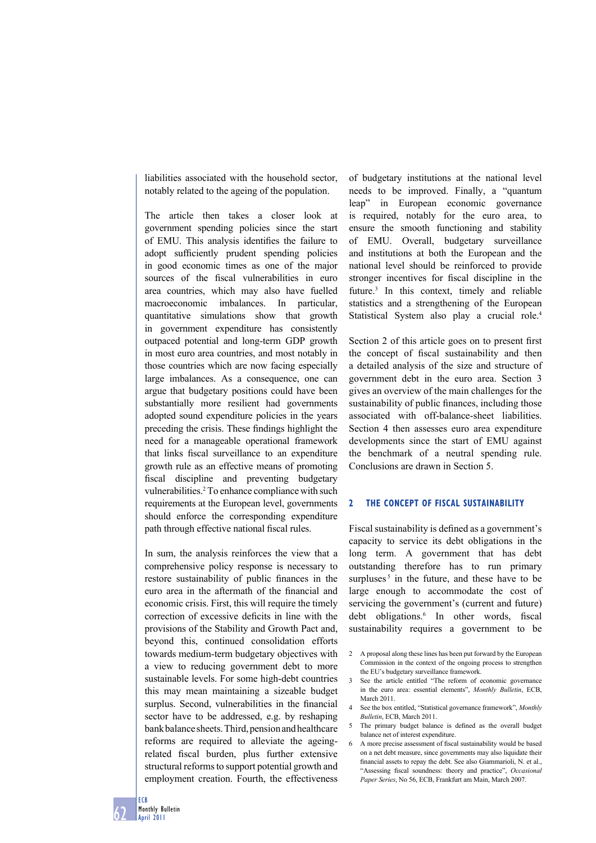liabilities associated with the household sector, notably related to the ageing of the population.

The article then takes a closer look at government spending policies since the start of EMU. This analysis identifies the failure to adopt sufficiently prudent spending policies in good economic times as one of the major sources of the fiscal vulnerabilities in euro area countries, which may also have fuelled macroeconomic imbalances. In particular, quantitative simulations show that growth in government expenditure has consistently outpaced potential and long-term GDP growth in most euro area countries, and most notably in those countries which are now facing especially large imbalances. As a consequence, one can argue that budgetary positions could have been substantially more resilient had governments adopted sound expenditure policies in the years preceding the crisis. These findings highlight the need for a manageable operational framework that links fiscal surveillance to an expenditure growth rule as an effective means of promoting fiscal discipline and preventing budgetary vulnerabilities.<sup>2</sup> To enhance compliance with such requirements at the European level, governments should enforce the corresponding expenditure path through effective national fiscal rules.

In sum, the analysis reinforces the view that a comprehensive policy response is necessary to restore sustainability of public finances in the euro area in the aftermath of the financial and economic crisis. First, this will require the timely correction of excessive deficits in line with the provisions of the Stability and Growth Pact and, beyond this, continued consolidation efforts towards medium-term budgetary objectives with a view to reducing government debt to more sustainable levels. For some high-debt countries this may mean maintaining a sizeable budget surplus. Second, vulnerabilities in the financial sector have to be addressed, e.g. by reshaping bank balance sheets. Third, pension and healthcare reforms are required to alleviate the ageingrelated fiscal burden, plus further extensive structural reforms to support potential growth and employment creation. Fourth, the effectiveness

of budgetary institutions at the national level needs to be improved. Finally, a "quantum leap" in European economic governance is required, notably for the euro area, to ensure the smooth functioning and stability of EMU. Overall, budgetary surveillance and institutions at both the European and the national level should be reinforced to provide stronger incentives for fiscal discipline in the future.3 In this context, timely and reliable statistics and a strengthening of the European Statistical System also play a crucial role.<sup>4</sup>

Section 2 of this article goes on to present first the concept of fiscal sustainability and then a detailed analysis of the size and structure of government debt in the euro area. Section 3 gives an overview of the main challenges for the sustainability of public finances, including those associated with off-balance-sheet liabilities. Section 4 then assesses euro area expenditure developments since the start of EMU against the benchmark of a neutral spending rule. Conclusions are drawn in Section 5.

# **2 THE CONCEPT OF FISCAL SUSTAINABILITY**

Fiscal sustainability is defined as a government's capacity to service its debt obligations in the long term. A government that has debt outstanding therefore has to run primary surpluses<sup>5</sup> in the future, and these have to be large enough to accommodate the cost of servicing the government's (current and future) debt obligations.<sup>6</sup> In other words, fiscal sustainability requires a government to be

- 2 A proposal along these lines has been put forward by the European Commission in the context of the ongoing process to strengthen the EU's budgetary surveillance framework.
- 3 See the article entitled "The reform of economic governance in the euro area: essential elements", *Monthly Bulletin*, ECB, March 2011.
- 4 See the box entitled, "Statistical governance framework", *Monthly Bulletin*, ECB, March 2011.
- 5 The primary budget balance is defined as the overall budget balance net of interest expenditure.
- 6 A more precise assessment of fiscal sustainability would be based on a net debt measure, since governments may also liquidate their financial assets to repay the debt. See also Giammarioli, N. et al., "Assessing fiscal soundness: theory and practice", *Occasional Paper Series*, No 56, ECB, Frankfurt am Main, March 2007.

ECB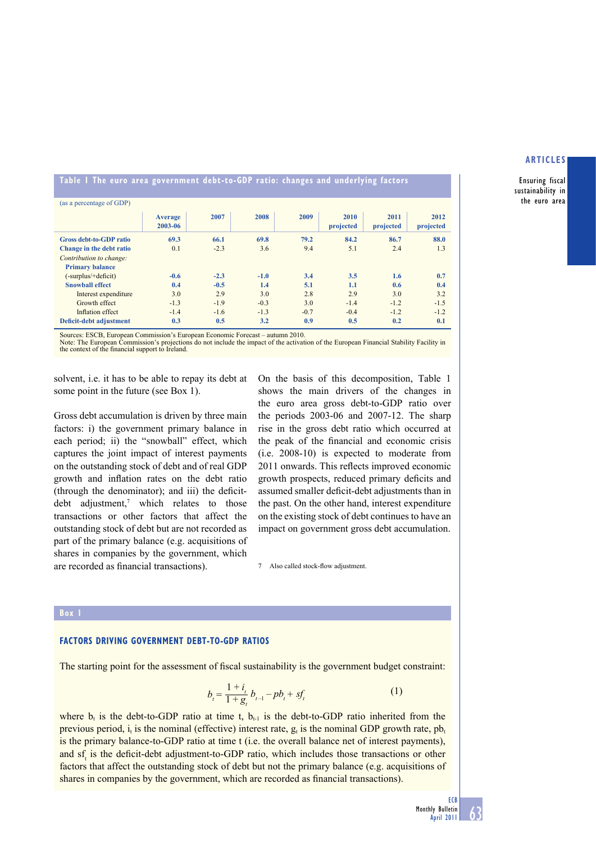Ensuring fiscal sustainability in the euro area

**Table 1 The euro area government debt-to-GDP ratio: changes and underlying factors** 

| (as a percentage of GDP)       |                    |        |        |        |                   |                   |                   |
|--------------------------------|--------------------|--------|--------|--------|-------------------|-------------------|-------------------|
|                                | Average<br>2003-06 | 2007   | 2008   | 2009   | 2010<br>projected | 2011<br>projected | 2012<br>projected |
| <b>Gross debt-to-GDP ratio</b> | 69.3               | 66.1   | 69.8   | 79.2   | 84.2              | 86.7              | 88.0              |
| Change in the debt ratio       | 0.1                | $-2.3$ | 3.6    | 9.4    | 5.1               | 2.4               | 1.3               |
| Contribution to change:        |                    |        |        |        |                   |                   |                   |
| <b>Primary balance</b>         |                    |        |        |        |                   |                   |                   |
| (-surplus/+deficit)            | $-0.6$             | $-2.3$ | $-1.0$ | 3.4    | 3.5               | 1.6               | 0.7               |
| <b>Snowball effect</b>         | 0.4                | $-0.5$ | 1.4    | 5.1    | 1.1               | 0.6               | 0.4               |
| Interest expenditure           | 3.0                | 2.9    | 3.0    | 2.8    | 2.9               | 3.0               | 3.2               |
| Growth effect                  | $-1.3$             | $-1.9$ | $-0.3$ | 3.0    | $-1.4$            | $-1.2$            | $-1.5$            |
| Inflation effect               | $-1.4$             | $-1.6$ | $-1.3$ | $-0.7$ | $-0.4$            | $-1.2$            | $-1.2$            |
| Deficit-debt adjustment        | 0.3                | 0.5    | 3.2    | 0.9    | 0.5               | 0.2               | 0.1               |

Sources: ESCB, European Commission's European Economic Forecast – autumn 2010.

Note: The European Commission's projections do not include the impact of the activation of the European Financial Stability Facility in the context of the financial support to Ireland.

solvent, i.e. it has to be able to repay its debt at some point in the future (see Box 1).

Gross debt accumulation is driven by three main factors: i) the government primary balance in each period; ii) the "snowball" effect, which captures the joint impact of interest payments on the outstanding stock of debt and of real GDP growth and inflation rates on the debt ratio  $(throught the denominator);$  and  $iii)$  the deficitdebt adjustment,7 which relates to those transactions or other factors that affect the outstanding stock of debt but are not recorded as part of the primary balance (e.g. acquisitions of shares in companies by the government, which are recorded as financial transactions).

On the basis of this decomposition, Table 1 shows the main drivers of the changes in the euro area gross debt-to-GDP ratio over the periods 2003-06 and 2007-12. The sharp rise in the gross debt ratio which occurred at the peak of the financial and economic crisis (i.e. 2008-10) is expected to moderate from 2011 onwards. This reflects improved economic growth prospects, reduced primary deficits and assumed smaller deficit-debt adjustments than in the past. On the other hand, interest expenditure on the existing stock of debt continues to have an impact on government gross debt accumulation.

7 Also called stock-flow adjustment

#### **Box 1**

## **FACTORS DRIVING GOVERNMENT DEBT-TO-GDP RATIOS**

The starting point for the assessment of fiscal sustainability is the government budget constraint:

$$
b_{i} = \frac{1 + i_{i}}{1 + g_{i}} b_{i-1} - pb_{i} + sf_{i}
$$
 (1)

where  $b_t$  is the debt-to-GDP ratio at time t,  $b_{t-1}$  is the debt-to-GDP ratio inherited from the previous period,  $i_t$  is the nominal (effective) interest rate,  $g_t$  is the nominal GDP growth rate,  $pb_t$ is the primary balance-to-GDP ratio at time t (i.e. the overall balance net of interest payments), and sf<sub>t</sub> is the deficit-debt adjustment-to-GDP ratio, which includes those transactions or other factors that affect the outstanding stock of debt but not the primary balance (e.g. acquisitions of shares in companies by the government, which are recorded as financial transactions).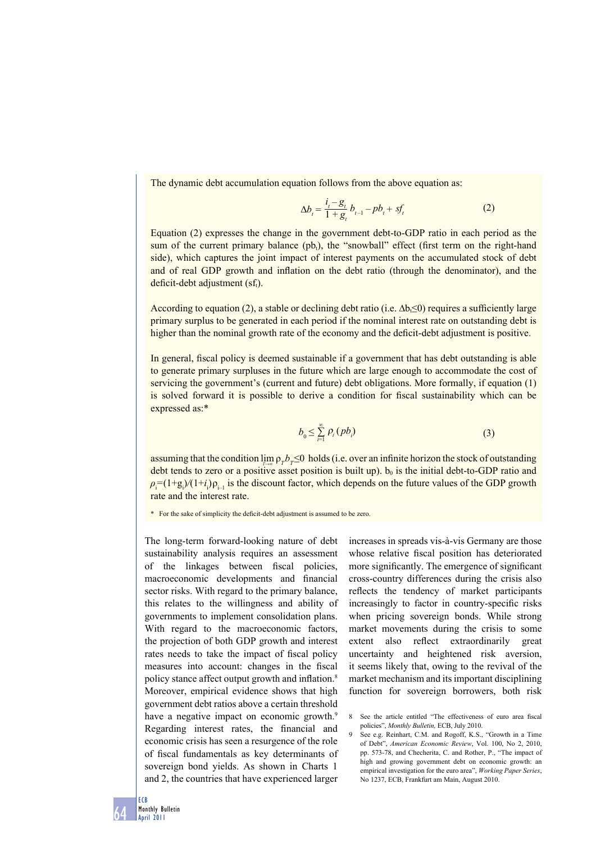The dynamic debt accumulation equation follows from the above equation as:

$$
\Delta b_{t} = \frac{i_{t} - g_{t}}{1 + g_{t}} b_{t-1} - pb_{t} + sf_{t}
$$
 (2)

Equation (2) expresses the change in the government debt-to-GDP ratio in each period as the sum of the current primary balance  $(pb_t)$ , the "snowball" effect (first term on the right-hand side), which captures the joint impact of interest payments on the accumulated stock of debt and of real GDP growth and inflation on the debt ratio (through the denominator), and the deficit-debt adjustment  $(sf_t)$ .

According to equation (2), a stable or declining debt ratio (i.e.  $\Delta b \leq 0$ ) requires a sufficiently large primary surplus to be generated in each period if the nominal interest rate on outstanding debt is higher than the nominal growth rate of the economy and the deficit-debt adjustment is positive.

In general, fiscal policy is deemed sustainable if a government that has debt outstanding is able to generate primary surpluses in the future which are large enough to accommodate the cost of servicing the government's (current and future) debt obligations. More formally, if equation (1) is solved forward it is possible to derive a condition for fiscal sustainability which can be expressed as:\*

$$
b_0 \leq \sum_{i=1}^{\infty} \rho_i \left( pb_i \right) \tag{3}
$$

assuming that the condition  $\lim_{T \to \infty} \rho_{T} b_{T} \leq 0$  holds (i.e. over an infinite horizon the stock of outstanding debt tends to zero or a positive asset position is built up).  $b_0$  is the initial debt-to-GDP ratio and  $\rho_i = (1+g_i)/(1+i_i)\rho_{i-1}$  is the discount factor, which depends on the future values of the GDP growth rate and the interest rate.

\* For the sake of simplicity the deficit-debt adjustment is assumed to be zero.

The long-term forward-looking nature of debt sustainability analysis requires an assessment of the linkages between fiscal policies, macroeconomic developments and financial sector risks. With regard to the primary balance, this relates to the willingness and ability of governments to implement consolidation plans. With regard to the macroeconomic factors, the projection of both GDP growth and interest rates needs to take the impact of fiscal policy measures into account: changes in the fiscal policy stance affect output growth and inflation.<sup>8</sup> Moreover, empirical evidence shows that high government debt ratios above a certain threshold have a negative impact on economic growth.<sup>9</sup> Regarding interest rates, the financial and economic crisis has seen a resurgence of the role of fiscal fundamentals as key determinants of sovereign bond yields. As shown in Charts 1 and 2, the countries that have experienced larger

increases in spreads vis-à-vis Germany are those whose relative fiscal position has deteriorated more significantly. The emergence of significant cross-country differences during the crisis also reflects the tendency of market participants increasingly to factor in country-specific risks when pricing sovereign bonds. While strong market movements during the crisis to some extent also reflect extraordinarily great uncertainty and heightened risk aversion, it seems likely that, owing to the revival of the market mechanism and its important disciplining function for sovereign borrowers, both risk

<sup>8</sup> See the article entitled "The effectiveness of euro area fiscal policies", *Monthly Bulletin,* ECB, July 2010.

<sup>9</sup> See e.g. Reinhart, C.M. and Rogoff, K.S., "Growth in a Time of Debt", *American Economic Review*, Vol. 100, No 2, 2010, pp. 573-78, and Checherita, C. and Rother, P., "The impact of high and growing government debt on economic growth: an empirical investigation for the euro area", *Working Paper Series*, No 1237, ECB, Frankfurt am Main, August 2010.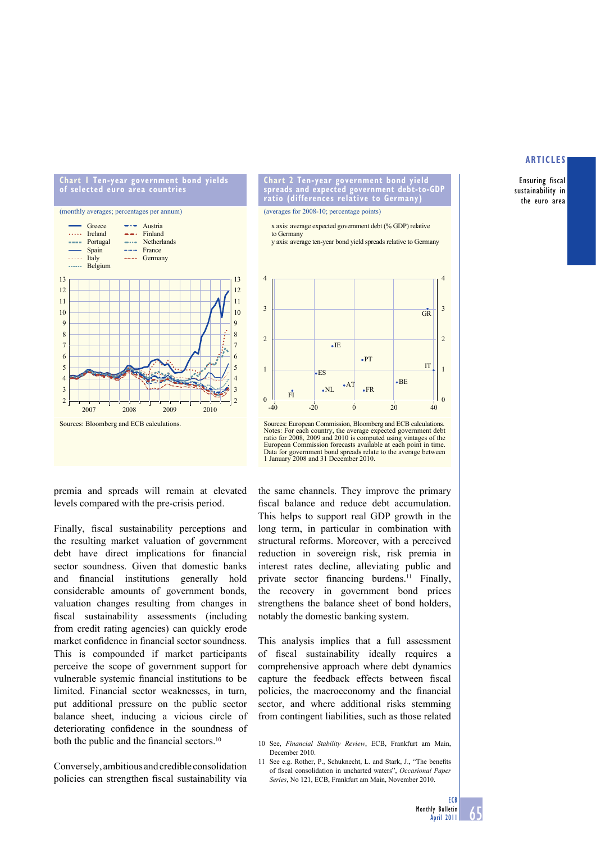#### **Chart 1 Ten-year government bond yields of selected euro area countries**



**Chart 2 Ten-year government bond yield spreads and expected government debt-to-GDP ratio (differences relative to Germany)** 

(averages for 2008-10; percentage points)

x axis: average expected government debt (% GDP) relative to Germany

y axis: average ten-year bond yield spreads relative to Germany



Sources: European Commission, Bloomberg and ECB calculations. Notes: For each country, the average expected government debt ratio for 2008, 2009 and 2010 is computed using vintages of the European Commission forecasts available at each point in time. Data for government bond spreads relate to the average between 1 January 2008 and 31 December 2010.

premia and spreads will remain at elevated levels compared with the pre-crisis period.

Finally, fiscal sustainability perceptions and the resulting market valuation of government debt have direct implications for financial sector soundness. Given that domestic banks and financial institutions generally hold considerable amounts of government bonds, valuation changes resulting from changes in fiscal sustainability assessments (including from credit rating agencies) can quickly erode market confidence in financial sector soundness. This is compounded if market participants perceive the scope of government support for vulnerable systemic financial institutions to be limited. Financial sector weaknesses, in turn, put additional pressure on the public sector balance sheet, inducing a vicious circle of deteriorating confidence in the soundness of both the public and the financial sectors. $10$ 

Conversely, ambitious and credible consolidation policies can strengthen fiscal sustainability via

the same channels. They improve the primary fiscal balance and reduce debt accumulation. This helps to support real GDP growth in the long term, in particular in combination with structural reforms. Moreover, with a perceived reduction in sovereign risk, risk premia in interest rates decline, alleviating public and private sector financing burdens.<sup>11</sup> Finally, the recovery in government bond prices strengthens the balance sheet of bond holders, notably the domestic banking system.

This analysis implies that a full assessment of fiscal sustainability ideally requires a comprehensive approach where debt dynamics capture the feedback effects between fiscal policies, the macroeconomy and the financial sector, and where additional risks stemming from contingent liabilities, such as those related

- 10 See, Financial Stability Review, ECB, Frankfurt am Main, December 2010.
- 11 See e.g. Rother, P., Schuknecht, L. and Stark, J., "The benefits of fiscal consolidation in uncharted waters", *Occasional Paper Series*, No 121, ECB, Frankfurt am Main, November 2010.

# **ARTICLES**

Ensuring fiscal sustainability in the euro area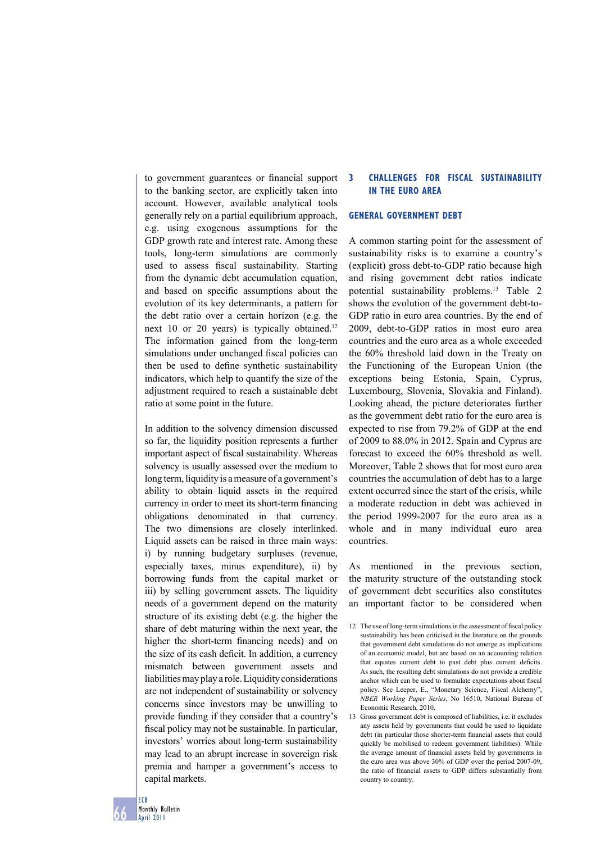to government guarantees or financial support to the banking sector, are explicitly taken into account. However, available analytical tools generally rely on a partial equilibrium approach, e.g. using exogenous assumptions for the GDP growth rate and interest rate. Among these tools, long-term simulations are commonly used to assess fiscal sustainability. Starting from the dynamic debt accumulation equation, and based on specific assumptions about the evolution of its key determinants, a pattern for the debt ratio over a certain horizon (e.g. the next 10 or 20 years) is typically obtained.<sup>12</sup> The information gained from the long-term simulations under unchanged fiscal policies can then be used to define synthetic sustainability indicators, which help to quantify the size of the adjustment required to reach a sustainable debt ratio at some point in the future.

In addition to the solvency dimension discussed so far, the liquidity position represents a further important aspect of fiscal sustainability. Whereas solvency is usually assessed over the medium to long term, liquidity is a measure of a government's ability to obtain liquid assets in the required currency in order to meet its short-term financing obligations denominated in that currency. The two dimensions are closely interlinked. Liquid assets can be raised in three main ways: i) by running budgetary surpluses (revenue, especially taxes, minus expenditure), ii) by borrowing funds from the capital market or iii) by selling government assets. The liquidity needs of a government depend on the maturity structure of its existing debt (e.g. the higher the share of debt maturing within the next year, the higher the short-term financing needs) and on the size of its cash deficit. In addition, a currency mismatch between government assets and liabilities may play a role. Liquidity considerations are not independent of sustainability or solvency concerns since investors may be unwilling to provide funding if they consider that a country's fiscal policy may not be sustainable. In particular, investors' worries about long-term sustainability may lead to an abrupt increase in sovereign risk premia and hamper a government's access to capital markets.

# **3 CHALLENGES FOR FISCAL SUSTAINABILITY IN THE EURO AREA**

# **GENERAL GOVERNMENT DEBT**

A common starting point for the assessment of sustainability risks is to examine a country's (explicit) gross debt-to-GDP ratio because high and rising government debt ratios indicate potential sustainability problems.13 Table 2 shows the evolution of the government debt-to-GDP ratio in euro area countries. By the end of 2009, debt-to-GDP ratios in most euro area countries and the euro area as a whole exceeded the 60% threshold laid down in the Treaty on the Functioning of the European Union (the exceptions being Estonia, Spain, Cyprus, Luxembourg, Slovenia, Slovakia and Finland). Looking ahead, the picture deteriorates further as the government debt ratio for the euro area is expected to rise from 79.2% of GDP at the end of 2009 to 88.0% in 2012. Spain and Cyprus are forecast to exceed the 60% threshold as well. Moreover, Table 2 shows that for most euro area countries the accumulation of debt has to a large extent occurred since the start of the crisis, while a moderate reduction in debt was achieved in the period 1999-2007 for the euro area as a whole and in many individual euro area countries.

As mentioned in the previous section, the maturity structure of the outstanding stock of government debt securities also constitutes an important factor to be considered when

<sup>12</sup> The use of long-term simulations in the assessment of fiscal policy sustainability has been criticised in the literature on the grounds that government debt simulations do not emerge as implications of an economic model, but are based on an accounting relation that equates current debt to past debt plus current deficits. As such, the resulting debt simulations do not provide a credible anchor which can be used to formulate expectations about fiscal policy. See Leeper, E., "Monetary Science, Fiscal Alchemy", *NBER Working Paper Series*, No 16510, National Bureau of Economic Research, 2010.

<sup>13</sup> Gross government debt is composed of liabilities, i.e. it excludes any assets held by governments that could be used to liquidate debt (in particular those shorter-term financial assets that could quickly be mobilised to redeem government liabilities). While the average amount of financial assets held by governments in the euro area was above 30% of GDP over the period 2007-09, the ratio of financial assets to GDP differs substantially from country to country.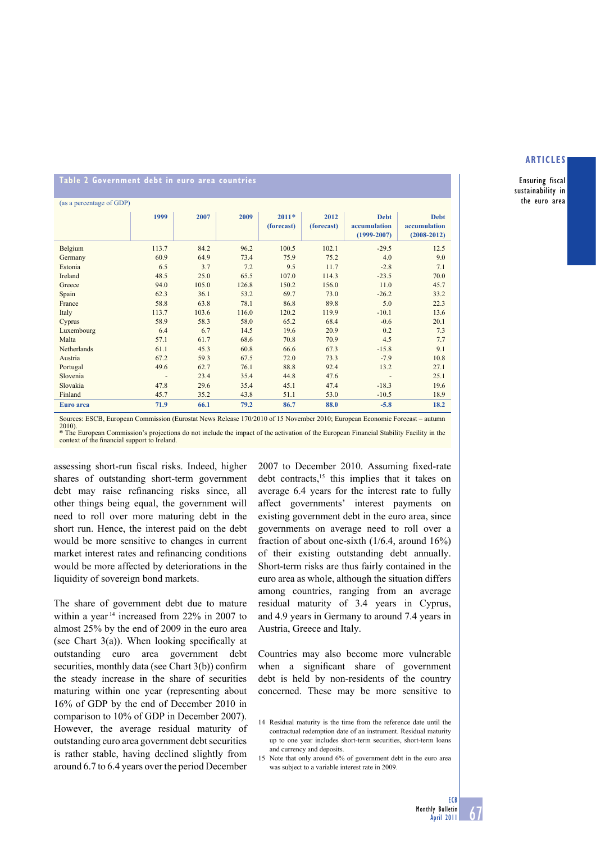Ensuring fiscal sustainability in the euro area

# **Table 2 Government debt in euro area countries**

| (as a percentage of GDP) |       |       |       |                       |                    |                                                |                                                |
|--------------------------|-------|-------|-------|-----------------------|--------------------|------------------------------------------------|------------------------------------------------|
|                          | 1999  | 2007  | 2009  | $2011*$<br>(forecast) | 2012<br>(forecast) | <b>Debt</b><br>accumulation<br>$(1999 - 2007)$ | <b>Debt</b><br>accumulation<br>$(2008 - 2012)$ |
| Belgium                  | 113.7 | 84.2  | 96.2  | 100.5                 | 102.1              | $-29.5$                                        | 12.5                                           |
| Germany                  | 60.9  | 64.9  | 73.4  | 75.9                  | 75.2               | 4.0                                            | 9.0                                            |
| Estonia                  | 6.5   | 3.7   | 7.2   | 9.5                   | 11.7               | $-2.8$                                         | 7.1                                            |
| Ireland                  | 48.5  | 25.0  | 65.5  | 107.0                 | 114.3              | $-23.5$                                        | 70.0                                           |
| Greece                   | 94.0  | 105.0 | 126.8 | 150.2                 | 156.0              | 11.0                                           | 45.7                                           |
| Spain                    | 62.3  | 36.1  | 53.2  | 69.7                  | 73.0               | $-26.2$                                        | 33.2                                           |
| France                   | 58.8  | 63.8  | 78.1  | 86.8                  | 89.8               | 5.0                                            | 22.3                                           |
| Italy                    | 113.7 | 103.6 | 116.0 | 120.2                 | 119.9              | $-10.1$                                        | 13.6                                           |
| Cyprus                   | 58.9  | 58.3  | 58.0  | 65.2                  | 68.4               | $-0.6$                                         | 20.1                                           |
| Luxembourg               | 6.4   | 6.7   | 14.5  | 19.6                  | 20.9               | 0.2                                            | 7.3                                            |
| Malta                    | 57.1  | 61.7  | 68.6  | 70.8                  | 70.9               | 4.5                                            | 7.7                                            |
| Netherlands              | 61.1  | 45.3  | 60.8  | 66.6                  | 67.3               | $-15.8$                                        | 9.1                                            |
| Austria                  | 67.2  | 59.3  | 67.5  | 72.0                  | 73.3               | $-7.9$                                         | 10.8                                           |
| Portugal                 | 49.6  | 62.7  | 76.1  | 88.8                  | 92.4               | 13.2                                           | 27.1                                           |
| Slovenia                 | ٠     | 23.4  | 35.4  | 44.8                  | 47.6               | ٠                                              | 25.1                                           |
| Slovakia                 | 47.8  | 29.6  | 35.4  | 45.1                  | 47.4               | $-18.3$                                        | 19.6                                           |
| Finland                  | 45.7  | 35.2  | 43.8  | 51.1                  | 53.0               | $-10.5$                                        | 18.9                                           |
| Euro area                | 71.9  | 66.1  | 79.2  | 86.7                  | 88.0               | $-5.8$                                         | 18.2                                           |

Sources: ESCB, European Commission (Eurostat News Release 170/2010 of 15 November 2010; European Economic Forecast – autumn

2010). **\*** The European Commission's projections do not include the impact of the activation of the European Financial Stability Facility in the context of the financial support to Ireland.

assessing short-run fiscal risks. Indeed, higher shares of outstanding short-term government debt may raise refinancing risks since, all other things being equal, the government will need to roll over more maturing debt in the short run. Hence, the interest paid on the debt would be more sensitive to changes in current market interest rates and refinancing conditions would be more affected by deteriorations in the liquidity of sovereign bond markets.

The share of government debt due to mature within a year 14 increased from 22% in 2007 to almost 25% by the end of 2009 in the euro area (see Chart  $3(a)$ ). When looking specifically at outstanding euro area government debt securities, monthly data (see Chart  $3(b)$ ) confirm the steady increase in the share of securities maturing within one year (representing about 16% of GDP by the end of December 2010 in comparison to 10% of GDP in December 2007). However, the average residual maturity of outstanding euro area government debt securities is rather stable, having declined slightly from around 6.7 to 6.4 years over the period December

2007 to December 2010. Assuming fixed-rate debt contracts,<sup>15</sup> this implies that it takes on average 6.4 years for the interest rate to fully affect governments' interest payments on existing government debt in the euro area, since governments on average need to roll over a fraction of about one-sixth (1/6.4, around 16%) of their existing outstanding debt annually. Short-term risks are thus fairly contained in the euro area as whole, although the situation differs among countries, ranging from an average residual maturity of 3.4 years in Cyprus, and 4.9 years in Germany to around 7.4 years in Austria, Greece and Italy.

Countries may also become more vulnerable when a significant share of government debt is held by non-residents of the country concerned. These may be more sensitive to

<sup>14</sup> Residual maturity is the time from the reference date until the contractual redemption date of an instrument. Residual maturity up to one year includes short-term securities, short-term loans and currency and deposits.

<sup>15</sup> Note that only around 6% of government debt in the euro area was subject to a variable interest rate in 2009.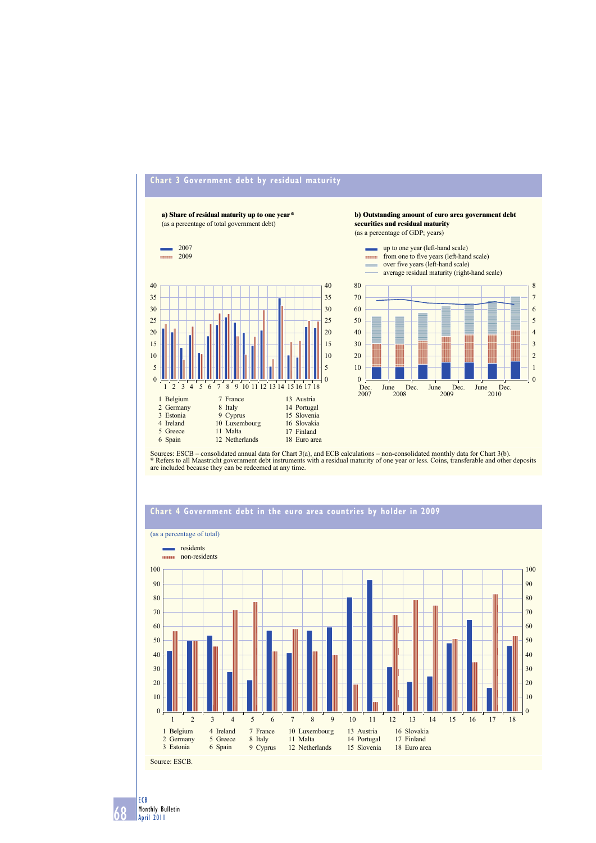

# **Chart 3 Government debt by residual maturity**

Sources: ESCB – consolidated annual data for Chart 3(a), and ECB calculations – non-consolidated monthly data for Chart 3(b). **\*** Refers to all Maastricht government debt instruments with a residual maturity of one year or less. Coins, transferable and other deposits are included because they can be redeemed at any time.



# **Chart 4 Government debt in the euro area countries by holder in 2009**

68 ECB Monthly Bulletin April 2011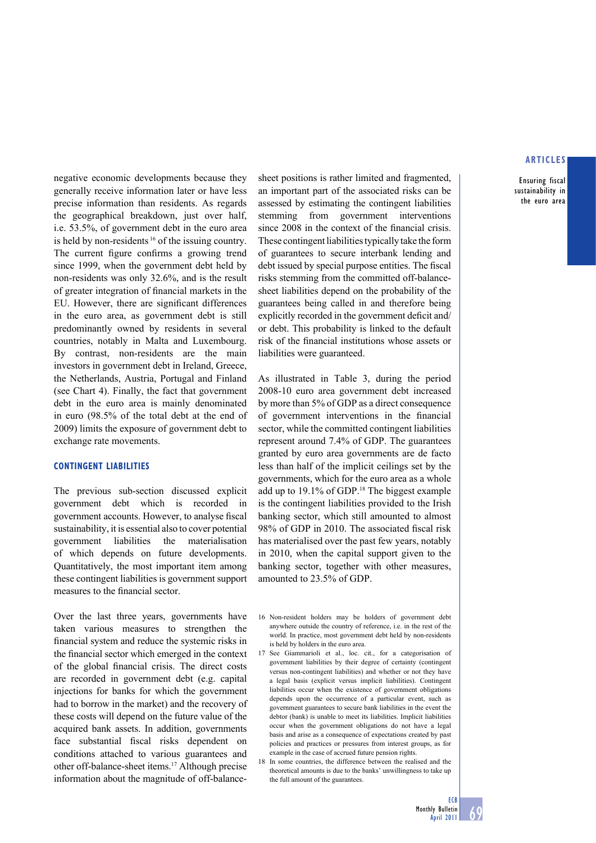Ensuring fiscal sustainability in the euro area

negative economic developments because they generally receive information later or have less precise information than residents. As regards the geographical breakdown, just over half, i.e. 53.5%, of government debt in the euro area is held by non-residents 16 of the issuing country. The current figure confirms a growing trend since 1999, when the government debt held by non-residents was only 32.6%, and is the result of greater integration of financial markets in the EU. However, there are significant differences in the euro area, as government debt is still predominantly owned by residents in several countries, notably in Malta and Luxembourg. By contrast, non-residents are the main investors in government debt in Ireland, Greece, the Netherlands, Austria, Portugal and Finland (see Chart 4). Finally, the fact that government debt in the euro area is mainly denominated in euro (98.5% of the total debt at the end of 2009) limits the exposure of government debt to exchange rate movements.

# **CONTINGENT LIABILITIES**

The previous sub-section discussed explicit government debt which is recorded in government accounts. However, to analyse fiscal sustainability, it is essential also to cover potential government liabilities the materialisation of which depends on future developments. Quantitatively, the most important item among these contingent liabilities is government support measures to the financial sector.

Over the last three years, governments have taken various measures to strengthen the financial system and reduce the systemic risks in the financial sector which emerged in the context of the global financial crisis. The direct costs are recorded in government debt (e.g. capital injections for banks for which the government had to borrow in the market) and the recovery of these costs will depend on the future value of the acquired bank assets. In addition, governments face substantial fiscal risks dependent on conditions attached to various guarantees and other off-balance-sheet items.17 Although precise information about the magnitude of off-balancesheet positions is rather limited and fragmented, an important part of the associated risks can be assessed by estimating the contingent liabilities stemming from government interventions since 2008 in the context of the financial crisis. These contingent liabilities typically take the form of guarantees to secure interbank lending and debt issued by special purpose entities. The fiscal risks stemming from the committed off-balancesheet liabilities depend on the probability of the guarantees being called in and therefore being explicitly recorded in the government deficit and/ or debt. This probability is linked to the default risk of the financial institutions whose assets or liabilities were guaranteed.

As illustrated in Table 3, during the period 2008-10 euro area government debt increased by more than 5% of GDP as a direct consequence of government interventions in the financial sector, while the committed contingent liabilities represent around 7.4% of GDP. The guarantees granted by euro area governments are de facto less than half of the implicit ceilings set by the governments, which for the euro area as a whole add up to 19.1% of GDP.<sup>18</sup> The biggest example is the contingent liabilities provided to the Irish banking sector, which still amounted to almost 98% of GDP in 2010. The associated fiscal risk has materialised over the past few years, notably in 2010, when the capital support given to the banking sector, together with other measures, amounted to 23.5% of GDP.

- 16 Non-resident holders may be holders of government debt anywhere outside the country of reference, i.e. in the rest of the world. In practice, most government debt held by non-residents is held by holders in the euro area.
- 17 See Giammarioli et al., loc. cit., for a categorisation of government liabilities by their degree of certainty (contingent versus non-contingent liabilities) and whether or not they have a legal basis (explicit versus implicit liabilities). Contingent liabilities occur when the existence of government obligations depends upon the occurrence of a particular event, such as government guarantees to secure bank liabilities in the event the debtor (bank) is unable to meet its liabilities. Implicit liabilities occur when the government obligations do not have a legal basis and arise as a consequence of expectations created by past policies and practices or pressures from interest groups, as for example in the case of accrued future pension rights.
- 18 In some countries, the difference between the realised and the theoretical amounts is due to the banks' unwillingness to take up the full amount of the guarantees.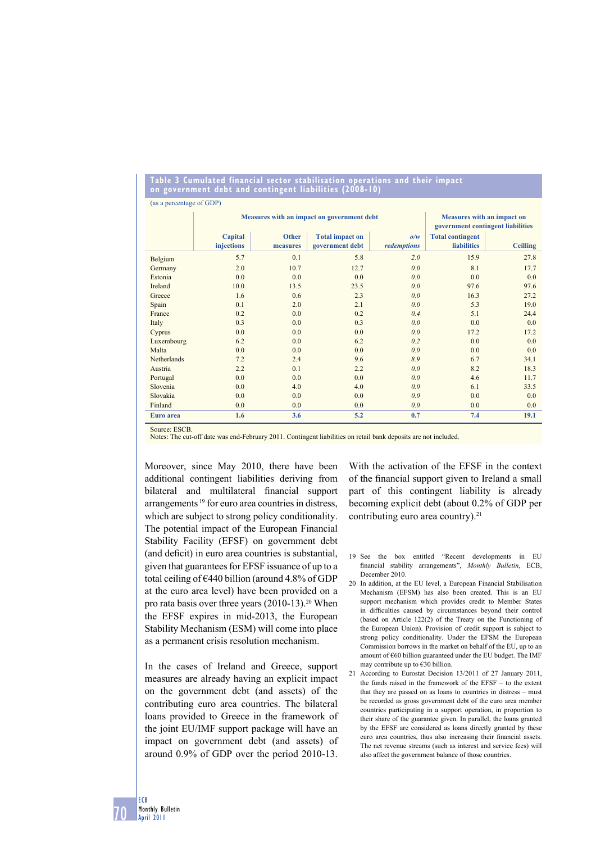#### **Table 3 Cumulated financial sector stabilisation operations and their impact on government debt and contingent liabilities (2008-10)**

|             |            | Measures with an impact on government debt | Measures with an impact on<br>government contingent liabilities |                         |                    |                 |
|-------------|------------|--------------------------------------------|-----------------------------------------------------------------|-------------------------|--------------------|-----------------|
|             |            |                                            |                                                                 |                         |                    |                 |
|             | Capital    | <b>Other</b>                               | <b>Total impact on</b>                                          | <b>Total contingent</b> |                    |                 |
|             | injections | measures                                   | government debt                                                 | redemptions             | <b>liabilities</b> | <b>Ceilling</b> |
| Belgium     | 5.7        | 0.1                                        | 5.8                                                             | 2.0                     | 15.9               | 27.8            |
| Germany     | 2.0        | 10.7                                       | 12.7                                                            | 0.0                     | 8.1                | 17.7            |
| Estonia     | 0.0        | 0.0                                        | 0.0                                                             | 0.0                     | 0.0                | 0.0             |
| Ireland     | 10.0       | 13.5                                       | 23.5                                                            | 0.0                     | 97.6               | 97.6            |
| Greece      | 1.6        | 0.6                                        | 2.3                                                             | 0.0                     | 16.3               | 27.2            |
| Spain       | 0.1        | 2.0                                        | 2.1                                                             | 0.0                     | 5.3                | 19.0            |
| France      | 0.2        | 0.0                                        | 0.2                                                             | 0.4                     | 5.1                | 24.4            |
| Italy       | 0.3        | 0.0                                        | 0.3                                                             | 0.0                     | 0.0                | 0.0             |
| Cyprus      | 0.0        | 0.0                                        | 0.0                                                             | 0.0                     | 17.2               | 17.2            |
| Luxembourg  | 6.2        | 0.0                                        | 6.2                                                             | 0.2                     | 0.0                | 0.0             |
| Malta       | 0.0        | 0.0                                        | 0.0                                                             | 0.0                     | 0.0                | 0.0             |
| Netherlands | 7.2        | 2.4                                        | 9.6                                                             | 8.9                     | 6.7                | 34.1            |
| Austria     | 2.2        | 0.1                                        | 2.2                                                             | 0.0                     | 8.2                | 18.3            |
| Portugal    | 0.0        | 0.0                                        | 0.0                                                             | 0.0                     | 4.6                | 11.7            |
| Slovenia    | 0.0        | 4.0                                        | 4.0                                                             | 0.0                     | 6.1                | 33.5            |
| Slovakia    | 0.0        | 0.0                                        | 0.0                                                             | 0.0                     | 0.0                | 0.0             |
| Finland     | 0.0        | 0.0                                        | 0.0                                                             | 0.0                     | 0.0                | 0.0             |
| Euro area   | 1.6        | 3.6                                        | 5.2                                                             | 0.7                     | 7.4                | 19.1            |

(as a percentage of GDP)

Source: ESCB

Notes: The cut-off date was end-February 2011. Contingent liabilities on retail bank deposits are not included.

Moreover, since May 2010, there have been additional contingent liabilities deriving from bilateral and multilateral financial support arrangements 19 for euro area countries in distress, which are subject to strong policy conditionality. The potential impact of the European Financial Stability Facility (EFSF) on government debt (and deficit) in euro area countries is substantial, given that guarantees for EFSF issuance of up to a total ceiling of  $\epsilon$ 440 billion (around 4.8% of GDP at the euro area level) have been provided on a pro rata basis over three years  $(2010-13).^{20}$  When the EFSF expires in mid-2013, the European Stability Mechanism (ESM) will come into place as a permanent crisis resolution mechanism.

In the cases of Ireland and Greece, support measures are already having an explicit impact on the government debt (and assets) of the contributing euro area countries. The bilateral loans provided to Greece in the framework of the joint EU/IMF support package will have an impact on government debt (and assets) of around 0.9% of GDP over the period 2010-13.

With the activation of the EFSF in the context of the financial support given to Ireland a small part of this contingent liability is already becoming explicit debt (about 0.2% of GDP per contributing euro area country).<sup>21</sup>

- 19 See the box entitled "Recent developments in EU financial stability arrangements", Monthly Bulletin, ECB, December 2010.
- 20 In addition, at the EU level, a European Financial Stabilisation Mechanism (EFSM) has also been created. This is an EU support mechanism which provides credit to Member States in difficulties caused by circumstances beyond their control (based on Article 122(2) of the Treaty on the Functioning of the European Union). Provision of credit support is subject to strong policy conditionality. Under the EFSM the European Commission borrows in the market on behalf of the EU, up to an amount of  $\epsilon$ 60 billion guaranteed under the EU budget. The IMF may contribute up to €30 billion.
- 21 According to Eurostat Decision 13/2011 of 27 January 2011, the funds raised in the framework of the EFSF – to the extent that they are passed on as loans to countries in distress – must be recorded as gross government debt of the euro area member countries participating in a support operation, in proportion to their share of the guarantee given. In parallel, the loans granted by the EFSF are considered as loans directly granted by these euro area countries, thus also increasing their financial assets. The net revenue streams (such as interest and service fees) will also affect the government balance of those countries.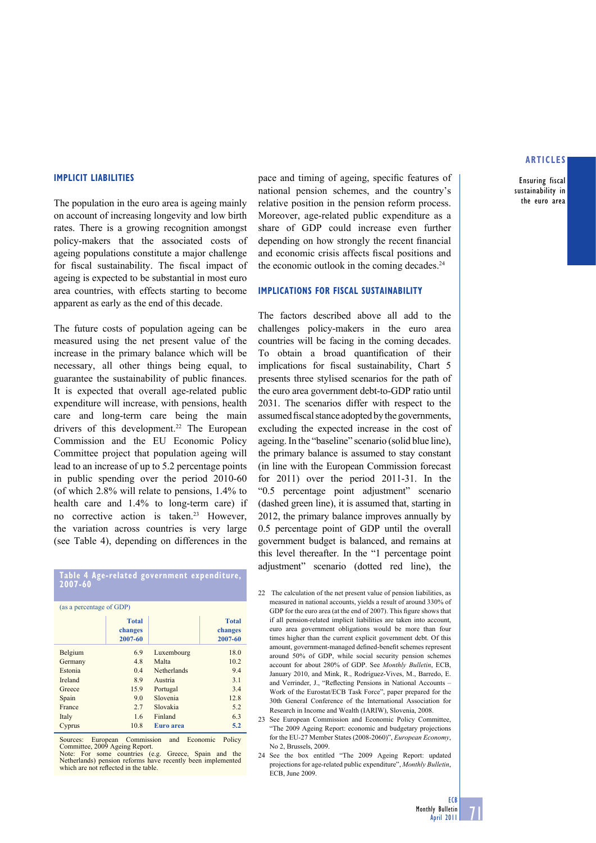Ensuring fiscal sustainability in the euro area

#### **IMPLICIT LIABILITIES**

The population in the euro area is ageing mainly on account of increasing longevity and low birth rates. There is a growing recognition amongst policy-makers that the associated costs of ageing populations constitute a major challenge for fiscal sustainability. The fiscal impact of ageing is expected to be substantial in most euro area countries, with effects starting to become apparent as early as the end of this decade.

The future costs of population ageing can be measured using the net present value of the increase in the primary balance which will be necessary, all other things being equal, to guarantee the sustainability of public finances. It is expected that overall age-related public expenditure will increase, with pensions, health care and long-term care being the main drivers of this development.<sup>22</sup> The European Commission and the EU Economic Policy Committee project that population ageing will lead to an increase of up to 5.2 percentage points in public spending over the period 2010-60 (of which 2.8% will relate to pensions, 1.4% to health care and 1.4% to long-term care) if no corrective action is taken.<sup>23</sup> However, the variation across countries is very large (see Table 4), depending on differences in the

| (as a percentage of GDP) |                                    |             |                                    |  |  |  |
|--------------------------|------------------------------------|-------------|------------------------------------|--|--|--|
|                          | <b>Total</b><br>changes<br>2007-60 |             | <b>Total</b><br>changes<br>2007-60 |  |  |  |
| Belgium                  | 6.9                                | Luxembourg  | 18.0                               |  |  |  |
| Germany                  | 4.8                                | Malta       | 10.2                               |  |  |  |
| Estonia                  | 0.4                                | Netherlands | 9.4                                |  |  |  |
| <b>Ireland</b>           | 89                                 | Austria     | 3.1                                |  |  |  |
| Greece                   | 15.9                               | Portugal    | 3.4                                |  |  |  |
| Spain                    | 9.0                                | Slovenia    | 12.8                               |  |  |  |
| France                   | 2.7                                | Slovakia    | 5.2                                |  |  |  |
| Italy                    | 1.6                                | Finland     | 63                                 |  |  |  |
| Cyprus                   | 10.8                               | Euro area   | 5.2                                |  |  |  |

**Table 4 Age-related government expenditure,** 

**2007-60**

Sources: European Commission and Economic Policy Committee, 2009 Ageing Report.

Note: For some countries (e.g. Greece, Spain and the Netherlands) pension reforms have recently been implemented which are not reflected in the table.

pace and timing of ageing, specific features of national pension schemes, and the country's relative position in the pension reform process. Moreover, age-related public expenditure as a share of GDP could increase even further depending on how strongly the recent financial and economic crisis affects fiscal positions and the economic outlook in the coming decades.<sup>24</sup>

### **IMPLICATIONS FOR FISCAL SUSTAINABILITY**

The factors described above all add to the challenges policy-makers in the euro area countries will be facing in the coming decades. To obtain a broad quantification of their implications for fiscal sustainability, Chart 5 presents three stylised scenarios for the path of the euro area government debt-to-GDP ratio until 2031. The scenarios differ with respect to the assumed fiscal stance adopted by the governments, excluding the expected increase in the cost of ageing. In the "baseline" scenario (solid blue line), the primary balance is assumed to stay constant (in line with the European Commission forecast for 2011) over the period 2011-31. In the "0.5 percentage point adjustment" scenario (dashed green line), it is assumed that, starting in 2012, the primary balance improves annually by 0.5 percentage point of GDP until the overall government budget is balanced, and remains at this level thereafter. In the "1 percentage point adjustment" scenario (dotted red line), the

- 22 The calculation of the net present value of pension liabilities, as measured in national accounts, yields a result of around 330% of GDP for the euro area (at the end of  $2007$ ). This figure shows that if all pension-related implicit liabilities are taken into account, euro area government obligations would be more than four times higher than the current explicit government debt. Of this amount, government-managed defined-benefit schemes represent around 50% of GDP, while social security pension schemes account for about 280% of GDP. See *Monthly Bulletin*, ECB, January 2010, and Mink, R., Rodríguez-Vives, M., Barredo, E. and Verrinder, J., "Reflecting Pensions in National Accounts -Work of the Eurostat/ECB Task Force", paper prepared for the 30th General Conference of the International Association for Research in Income and Wealth (IARIW), Slovenia, 2008.
- 23 See European Commission and Economic Policy Committee, "The 2009 Ageing Report: economic and budgetary projections for the EU-27 Member States (2008-2060)", *European Economy*, No. 2, Brussels, 2009.
- 24 See the box entitled "The 2009 Ageing Report: updated projections for age-related public expenditure", *Monthly Bulletin*, ECB, June 2009.

**ECB**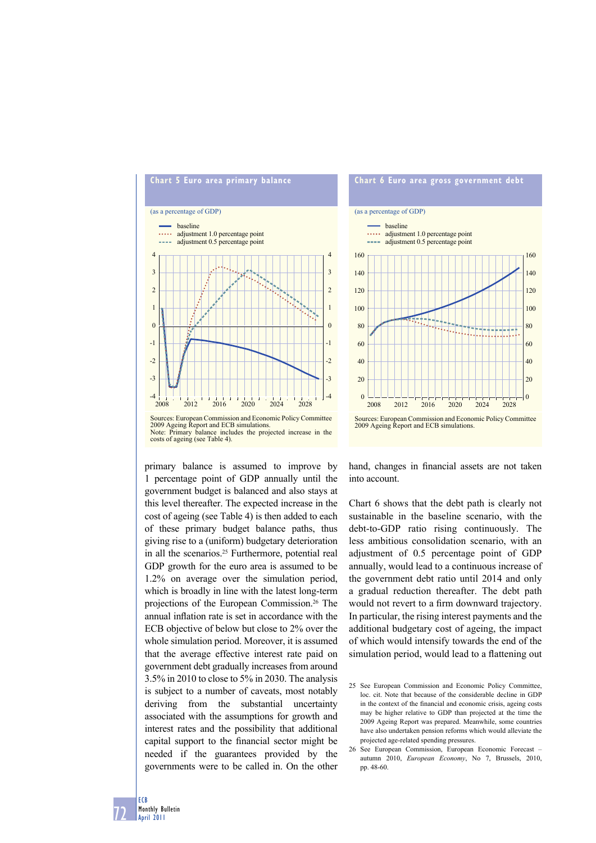



primary balance is assumed to improve by 1 percentage point of GDP annually until the government budget is balanced and also stays at this level thereafter. The expected increase in the cost of ageing (see Table 4) is then added to each of these primary budget balance paths, thus giving rise to a (uniform) budgetary deterioration in all the scenarios.<sup>25</sup> Furthermore, potential real GDP growth for the euro area is assumed to be 1.2% on average over the simulation period, which is broadly in line with the latest long-term projections of the European Commission.26 The annual inflation rate is set in accordance with the ECB objective of below but close to 2% over the whole simulation period. Moreover, it is assumed that the average effective interest rate paid on government debt gradually increases from around 3.5% in 2010 to close to 5% in 2030. The analysis is subject to a number of caveats, most notably deriving from the substantial uncertainty associated with the assumptions for growth and interest rates and the possibility that additional capital support to the financial sector might be needed if the guarantees provided by the governments were to be called in. On the other

hand, changes in financial assets are not taken into account.

Chart 6 shows that the debt path is clearly not sustainable in the baseline scenario, with the debt-to-GDP ratio rising continuously. The less ambitious consolidation scenario, with an adjustment of 0.5 percentage point of GDP annually, would lead to a continuous increase of the government debt ratio until 2014 and only a gradual reduction thereafter. The debt path would not revert to a firm downward trajectory. In particular, the rising interest payments and the additional budgetary cost of ageing, the impact of which would intensify towards the end of the simulation period, would lead to a flattening out

72 ECB Monthly Bulletin April 2011

<sup>25</sup> See European Commission and Economic Policy Committee, loc. cit. Note that because of the considerable decline in GDP in the context of the financial and economic crisis, ageing costs may be higher relative to GDP than projected at the time the 2009 Ageing Report was prepared. Meanwhile, some countries have also undertaken pension reforms which would alleviate the projected age-related spending pressures.

<sup>26</sup> See European Commission, European Economic Forecast – autumn 2010, *European Economy*, No 7, Brussels, 2010, pp. 48-60.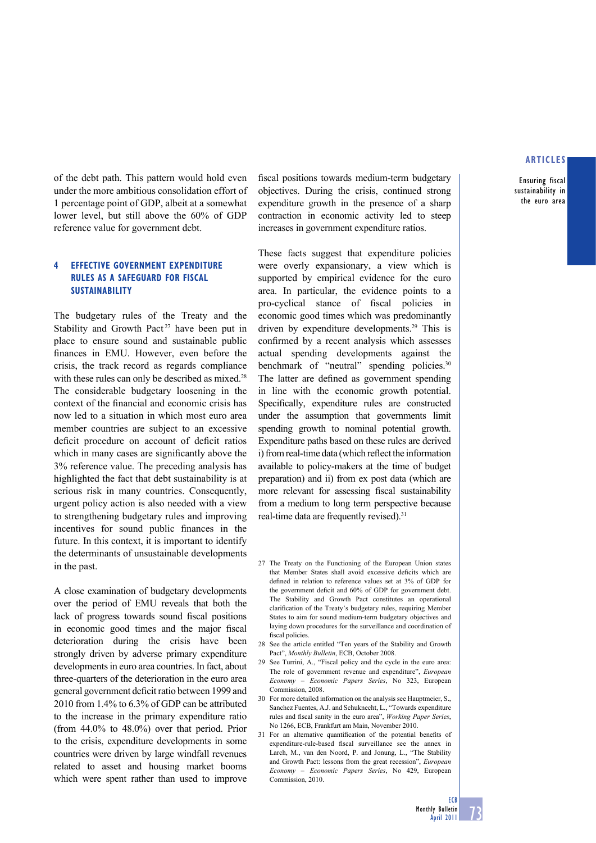Ensuring fiscal sustainability in the euro area

of the debt path. This pattern would hold even under the more ambitious consolidation effort of 1 percentage point of GDP, albeit at a somewhat lower level, but still above the 60% of GDP reference value for government debt.

# **4 EFFECTIVE GOVERNMENT EXPENDITURE RULES AS A SAFEGUARD FOR FISCAL SUSTAINABILITY**

The budgetary rules of the Treaty and the Stability and Growth Pact<sup>27</sup> have been put in place to ensure sound and sustainable public finances in EMU. However, even before the crisis, the track record as regards compliance with these rules can only be described as mixed.<sup>28</sup> The considerable budgetary loosening in the context of the financial and economic crisis has now led to a situation in which most euro area member countries are subject to an excessive deficit procedure on account of deficit ratios which in many cases are significantly above the 3% reference value. The preceding analysis has highlighted the fact that debt sustainability is at serious risk in many countries. Consequently, urgent policy action is also needed with a view to strengthening budgetary rules and improving incentives for sound public finances in the future. In this context, it is important to identify the determinants of unsustainable developments in the past.

A close examination of budgetary developments over the period of EMU reveals that both the lack of progress towards sound fiscal positions in economic good times and the major fiscal deterioration during the crisis have been strongly driven by adverse primary expenditure developments in euro area countries. In fact, about three-quarters of the deterioration in the euro area general government deficit ratio between 1999 and 2010 from 1.4% to 6.3% of GDP can be attributed to the increase in the primary expenditure ratio (from 44.0% to 48.0%) over that period. Prior to the crisis, expenditure developments in some countries were driven by large windfall revenues related to asset and housing market booms which were spent rather than used to improve

fiscal positions towards medium-term budgetary objectives. During the crisis, continued strong expenditure growth in the presence of a sharp contraction in economic activity led to steep increases in government expenditure ratios.

These facts suggest that expenditure policies were overly expansionary, a view which is supported by empirical evidence for the euro area. In particular, the evidence points to a pro-cyclical stance of fiscal policies in economic good times which was predominantly driven by expenditure developments.29 This is confirmed by a recent analysis which assesses actual spending developments against the benchmark of "neutral" spending policies.<sup>30</sup> The latter are defined as government spending in line with the economic growth potential. Specifically, expenditure rules are constructed under the assumption that governments limit spending growth to nominal potential growth. Expenditure paths based on these rules are derived i) from real-time data (which reflect the information available to policy-makers at the time of budget preparation) and ii) from ex post data (which are more relevant for assessing fiscal sustainability from a medium to long term perspective because real-time data are frequently revised).<sup>31</sup>

- 27 The Treaty on the Functioning of the European Union states that Member States shall avoid excessive deficits which are defined in relation to reference values set at 3% of GDP for the government deficit and 60% of GDP for government debt. The Stability and Growth Pact constitutes an operational clarification of the Treaty's budgetary rules, requiring Member States to aim for sound medium-term budgetary objectives and laying down procedures for the surveillance and coordination of fiscal policies.
- 28 See the article entitled "Ten years of the Stability and Growth Pact", *Monthly Bulletin*, ECB, October 2008.
- 29 See Turrini, A., "Fiscal policy and the cycle in the euro area: The role of government revenue and expenditure", *European Economy* – *Economic Papers Series*, No 323, European Commission, 2008.
- 30 For more detailed information on the analysis see Hauptmeier, S., Sanchez Fuentes, A.J. and Schuknecht, L., "Towards expenditure rules and fiscal sanity in the euro area", *Working Paper Series*, No 1266, ECB, Frankfurt am Main, November 2010.
- 31 For an alternative quantification of the potential benefits of expenditure-rule-based fiscal surveillance see the annex in Larch, M., van den Noord, P. and Jonung, L., "The Stability and Growth Pact: lessons from the great recession", *European Economy* – *Economic Papers Series*, No 429, European Commission, 2010.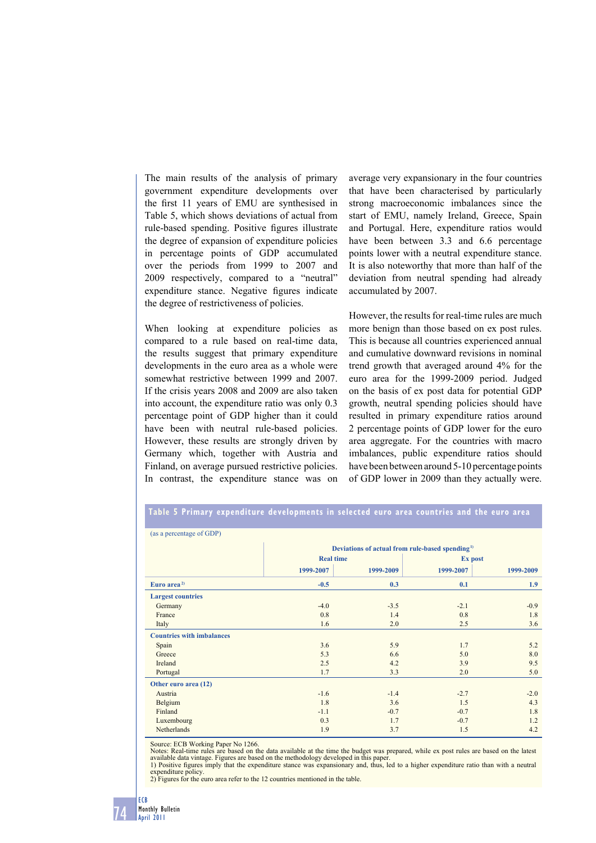The main results of the analysis of primary government expenditure developments over the first 11 years of EMU are synthesised in Table 5, which shows deviations of actual from rule-based spending. Positive figures illustrate the degree of expansion of expenditure policies in percentage points of GDP accumulated over the periods from 1999 to 2007 and 2009 respectively, compared to a "neutral" expenditure stance. Negative figures indicate the degree of restrictiveness of policies.

When looking at expenditure policies as compared to a rule based on real-time data, the results suggest that primary expenditure developments in the euro area as a whole were somewhat restrictive between 1999 and 2007. If the crisis years 2008 and 2009 are also taken into account, the expenditure ratio was only 0.3 percentage point of GDP higher than it could have been with neutral rule-based policies. However, these results are strongly driven by Germany which, together with Austria and Finland, on average pursued restrictive policies. In contrast, the expenditure stance was on

average very expansionary in the four countries that have been characterised by particularly strong macroeconomic imbalances since the start of EMU, namely Ireland, Greece, Spain and Portugal. Here, expenditure ratios would have been between 3.3 and 6.6 percentage points lower with a neutral expenditure stance. It is also noteworthy that more than half of the deviation from neutral spending had already accumulated by 2007.

However, the results for real-time rules are much more benign than those based on ex post rules. This is because all countries experienced annual and cumulative downward revisions in nominal trend growth that averaged around 4% for the euro area for the 1999-2009 period. Judged on the basis of ex post data for potential GDP growth, neutral spending policies should have resulted in primary expenditure ratios around 2 percentage points of GDP lower for the euro area aggregate. For the countries with macro imbalances, public expenditure ratios should have been between around 5-10 percentage points of GDP lower in 2009 than they actually were.

| (as a percentage of GDP)<br>Deviations of actual from rule-based spending <sup>1)</sup><br><b>Real time</b><br>Ex post<br>1999-2007<br>1999-2007<br>1999-2009<br>Euro area <sup>2)</sup><br>$-0.5$<br>0.3<br>0.1<br><b>Largest countries</b><br>$-4.0$<br>Germany<br>$-3.5$<br>$-2.1$<br>France<br>0.8<br>0.8<br>1.4<br>1.6<br>2.0<br>2.5<br>Italy<br><b>Countries with imbalances</b><br>3.6<br>Spain<br>5.9<br>1.7<br>5.3<br>Greece<br>6.6<br>5.0<br>2.5<br>Ireland<br>4.2<br>3.9<br>3.3<br>1.7<br>2.0<br>Portugal<br>Other euro area (12)<br>Austria<br>$-1.6$<br>$-1.4$<br>$-2.7$ |  |  |  |           |  |  |
|---------------------------------------------------------------------------------------------------------------------------------------------------------------------------------------------------------------------------------------------------------------------------------------------------------------------------------------------------------------------------------------------------------------------------------------------------------------------------------------------------------------------------------------------------------------------------------------|--|--|--|-----------|--|--|
|                                                                                                                                                                                                                                                                                                                                                                                                                                                                                                                                                                                       |  |  |  |           |  |  |
|                                                                                                                                                                                                                                                                                                                                                                                                                                                                                                                                                                                       |  |  |  |           |  |  |
|                                                                                                                                                                                                                                                                                                                                                                                                                                                                                                                                                                                       |  |  |  |           |  |  |
|                                                                                                                                                                                                                                                                                                                                                                                                                                                                                                                                                                                       |  |  |  | 1999-2009 |  |  |
|                                                                                                                                                                                                                                                                                                                                                                                                                                                                                                                                                                                       |  |  |  | 1.9       |  |  |
|                                                                                                                                                                                                                                                                                                                                                                                                                                                                                                                                                                                       |  |  |  |           |  |  |
|                                                                                                                                                                                                                                                                                                                                                                                                                                                                                                                                                                                       |  |  |  | $-0.9$    |  |  |
|                                                                                                                                                                                                                                                                                                                                                                                                                                                                                                                                                                                       |  |  |  | 1.8       |  |  |
|                                                                                                                                                                                                                                                                                                                                                                                                                                                                                                                                                                                       |  |  |  | 3.6       |  |  |
|                                                                                                                                                                                                                                                                                                                                                                                                                                                                                                                                                                                       |  |  |  |           |  |  |
|                                                                                                                                                                                                                                                                                                                                                                                                                                                                                                                                                                                       |  |  |  | 5.2       |  |  |
|                                                                                                                                                                                                                                                                                                                                                                                                                                                                                                                                                                                       |  |  |  | 8.0       |  |  |
|                                                                                                                                                                                                                                                                                                                                                                                                                                                                                                                                                                                       |  |  |  | 9.5       |  |  |
|                                                                                                                                                                                                                                                                                                                                                                                                                                                                                                                                                                                       |  |  |  | 5.0       |  |  |
|                                                                                                                                                                                                                                                                                                                                                                                                                                                                                                                                                                                       |  |  |  |           |  |  |
|                                                                                                                                                                                                                                                                                                                                                                                                                                                                                                                                                                                       |  |  |  | $-2.0$    |  |  |
| 1.8<br>1.5<br>Belgium<br>3.6                                                                                                                                                                                                                                                                                                                                                                                                                                                                                                                                                          |  |  |  | 4.3       |  |  |
| Finland<br>$-1.1$<br>$-0.7$<br>$-0.7$                                                                                                                                                                                                                                                                                                                                                                                                                                                                                                                                                 |  |  |  | 1.8       |  |  |
| 0.3<br>$-0.7$<br>Luxembourg<br>1.7                                                                                                                                                                                                                                                                                                                                                                                                                                                                                                                                                    |  |  |  | 1.2       |  |  |
| Netherlands<br>1.9<br>1.5<br>3.7                                                                                                                                                                                                                                                                                                                                                                                                                                                                                                                                                      |  |  |  | 4.2       |  |  |

**Table 5 Primary expenditure developments in selected euro area countries and the euro area**

Source: ECB Working Paper No 1266.

Notes: Real-time rules are based on the data available at the time the budget was prepared, while ex post rules are based on the latest available data vintage. Figures are based on the methodology developed in this paper.<br>1) Positive figures imply that the expenditure stance was expansionary and, thus, led to a higher expenditure ratio than with a neutral

expenditure policy. 2) Figures for the euro area refer to the 12 countries mentioned in the table.

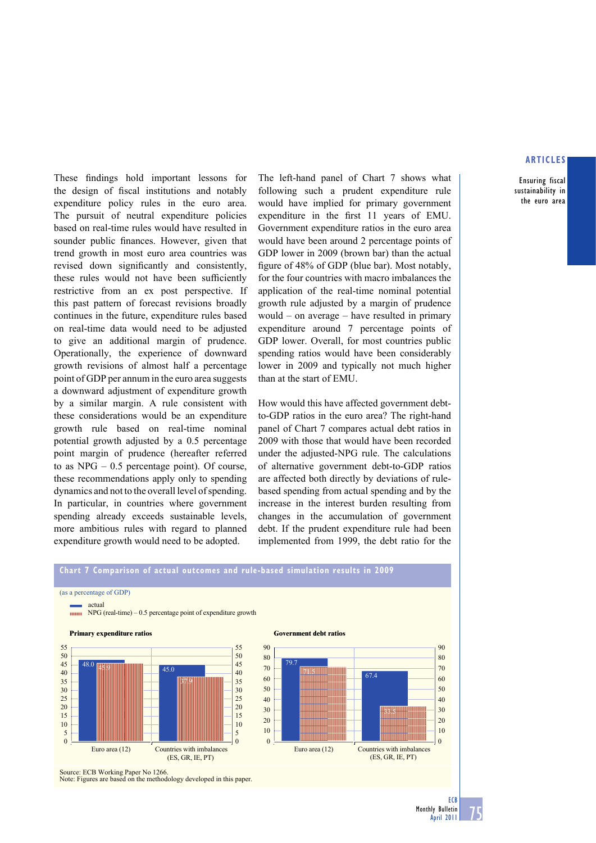Ensuring fiscal sustainability in the euro area

These findings hold important lessons for the design of fiscal institutions and notably expenditure policy rules in the euro area. The pursuit of neutral expenditure policies based on real-time rules would have resulted in sounder public finances. However, given that trend growth in most euro area countries was revised down significantly and consistently, these rules would not have been sufficiently restrictive from an ex post perspective. If this past pattern of forecast revisions broadly continues in the future, expenditure rules based on real-time data would need to be adjusted to give an additional margin of prudence. Operationally, the experience of downward growth revisions of almost half a percentage point of GDP per annum in the euro area suggests a downward adjustment of expenditure growth by a similar margin. A rule consistent with these considerations would be an expenditure growth rule based on real-time nominal potential growth adjusted by a 0.5 percentage point margin of prudence (hereafter referred to as  $NPG - 0.5$  percentage point). Of course, these recommendations apply only to spending dynamics and not to the overall level of spending. In particular, in countries where government spending already exceeds sustainable levels, more ambitious rules with regard to planned expenditure growth would need to be adopted.

The left-hand panel of Chart 7 shows what following such a prudent expenditure rule would have implied for primary government expenditure in the first 11 years of EMU. Government expenditure ratios in the euro area would have been around 2 percentage points of GDP lower in 2009 (brown bar) than the actual figure of 48% of GDP (blue bar). Most notably, for the four countries with macro imbalances the application of the real-time nominal potential growth rule adjusted by a margin of prudence would – on average – have resulted in primary expenditure around 7 percentage points of GDP lower. Overall, for most countries public spending ratios would have been considerably lower in 2009 and typically not much higher than at the start of EMU.

How would this have affected government debtto-GDP ratios in the euro area? The right-hand panel of Chart 7 compares actual debt ratios in 2009 with those that would have been recorded under the adjusted-NPG rule. The calculations of alternative government debt-to-GDP ratios are affected both directly by deviations of rulebased spending from actual spending and by the increase in the interest burden resulting from changes in the accumulation of government debt. If the prudent expenditure rule had been implemented from 1999, the debt ratio for the

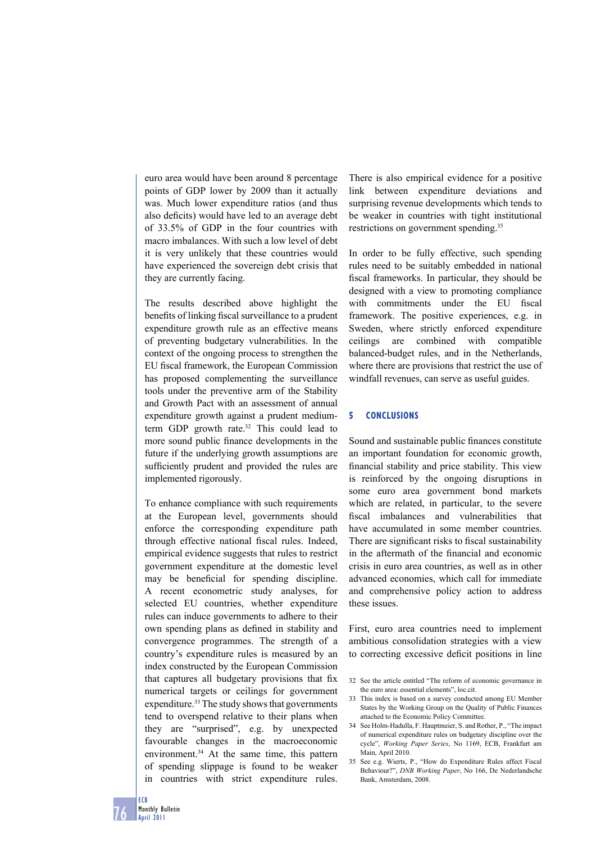euro area would have been around 8 percentage points of GDP lower by 2009 than it actually was. Much lower expenditure ratios (and thus also deficits) would have led to an average debt of 33.5% of GDP in the four countries with macro imbalances. With such a low level of debt it is very unlikely that these countries would have experienced the sovereign debt crisis that they are currently facing.

The results described above highlight the benefits of linking fiscal surveillance to a prudent expenditure growth rule as an effective means of preventing budgetary vulnerabilities. In the context of the ongoing process to strengthen the EU fiscal framework, the European Commission has proposed complementing the surveillance tools under the preventive arm of the Stability and Growth Pact with an assessment of annual expenditure growth against a prudent mediumterm GDP growth rate.<sup>32</sup> This could lead to more sound public finance developments in the future if the underlying growth assumptions are sufficiently prudent and provided the rules are implemented rigorously.

To enhance compliance with such requirements at the European level, governments should enforce the corresponding expenditure path through effective national fiscal rules. Indeed, empirical evidence suggests that rules to restrict government expenditure at the domestic level may be beneficial for spending discipline. A recent econometric study analyses, for selected EU countries, whether expenditure rules can induce governments to adhere to their own spending plans as defined in stability and convergence programmes. The strength of a country's expenditure rules is measured by an index constructed by the European Commission that captures all budgetary provisions that fix numerical targets or ceilings for government expenditure.<sup>33</sup> The study shows that governments tend to overspend relative to their plans when they are "surprised", e.g. by unexpected favourable changes in the macroeconomic environment.<sup>34</sup> At the same time, this pattern of spending slippage is found to be weaker in countries with strict expenditure rules.

There is also empirical evidence for a positive link between expenditure deviations and surprising revenue developments which tends to be weaker in countries with tight institutional restrictions on government spending.<sup>35</sup>

In order to be fully effective, such spending rules need to be suitably embedded in national fiscal frameworks. In particular, they should be designed with a view to promoting compliance with commitments under the EU fiscal framework. The positive experiences, e.g. in Sweden, where strictly enforced expenditure ceilings are combined with compatible balanced-budget rules, and in the Netherlands, where there are provisions that restrict the use of windfall revenues, can serve as useful guides.

#### **5 CONCLUSIONS**

Sound and sustainable public finances constitute an important foundation for economic growth, financial stability and price stability. This view is reinforced by the ongoing disruptions in some euro area government bond markets which are related, in particular, to the severe fiscal imbalances and vulnerabilities that have accumulated in some member countries. There are significant risks to fiscal sustainability in the aftermath of the financial and economic crisis in euro area countries, as well as in other advanced economies, which call for immediate and comprehensive policy action to address these issues.

First, euro area countries need to implement ambitious consolidation strategies with a view to correcting excessive deficit positions in line

- 32 See the article entitled "The reform of economic governance in the euro area: essential elements", loc.cit.
- 33 This index is based on a survey conducted among EU Member States by the Working Group on the Quality of Public Finances attached to the Economic Policy Committee.
- 34 See Holm-Hadulla, F. Hauptmeier, S. and Rother, P., "The impact of numerical expenditure rules on budgetary discipline over the cycle", *Working Paper Series*, No 1169, ECB, Frankfurt am Main, April 2010.
- 35 See e.g. Wierts, P., "How do Expenditure Rules affect Fiscal Behaviour?", *DNB Working Paper*, No 166, De Nederlandsche Bank, Amsterdam, 2008.